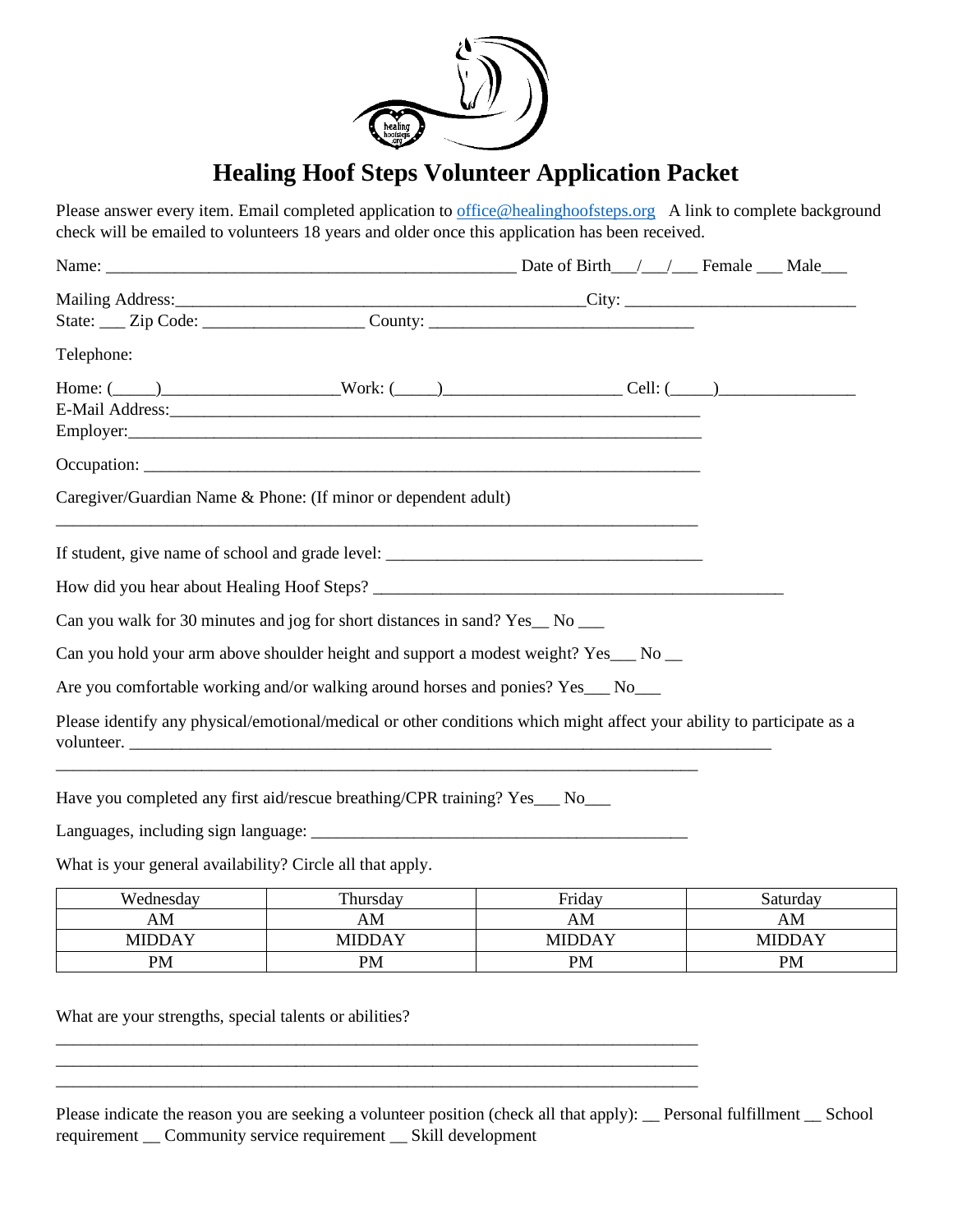

# **Healing Hoof Steps Volunteer Application Packet**

Please answer every item. Email completed application to [office@healinghoofsteps.org](mailto:office@healinghoofsteps.org) A link to complete background check will be emailed to volunteers 18 years and older once this application has been received.

| Telephone:                                                                                                                           |  |
|--------------------------------------------------------------------------------------------------------------------------------------|--|
| Home: (_____)_________________________Work: (_____)__________________________Cell: (_____)____________________                       |  |
|                                                                                                                                      |  |
|                                                                                                                                      |  |
|                                                                                                                                      |  |
| Caregiver/Guardian Name & Phone: (If minor or dependent adult)                                                                       |  |
|                                                                                                                                      |  |
|                                                                                                                                      |  |
|                                                                                                                                      |  |
| Can you walk for 30 minutes and jog for short distances in sand? Yes_No __                                                           |  |
| Can you hold your arm above shoulder height and support a modest weight? Yes__ No _                                                  |  |
| Are you comfortable working and/or walking around horses and ponies? Yes___ No___                                                    |  |
| Please identify any physical/emotional/medical or other conditions which might affect your ability to participate as a<br>volunteer. |  |
| Have you completed any first aid/rescue breathing/CPR training? Yes___ No___                                                         |  |
|                                                                                                                                      |  |

What is your general availability? Circle all that apply.

| Wednesday | Thursday      | Friday    | Saturdav      |
|-----------|---------------|-----------|---------------|
| ΑM        | AM            | AM        | AM            |
| MIDDAY    | <b>MIDDAY</b> | MIDDAY    | <b>MIDDAY</b> |
| <b>PM</b> | <b>PM</b>     | <b>PM</b> | PM            |

What are your strengths, special talents or abilities?

| Please indicate the reason you are seeking a volunteer position (check all that apply): __ Personal fulfillment __ School |  |
|---------------------------------------------------------------------------------------------------------------------------|--|
| requirement _ Community service requirement _ Skill development                                                           |  |

\_\_\_\_\_\_\_\_\_\_\_\_\_\_\_\_\_\_\_\_\_\_\_\_\_\_\_\_\_\_\_\_\_\_\_\_\_\_\_\_\_\_\_\_\_\_\_\_\_\_\_\_\_\_\_\_\_\_\_\_\_\_\_\_\_\_\_\_\_\_\_\_\_\_\_

\_\_\_\_\_\_\_\_\_\_\_\_\_\_\_\_\_\_\_\_\_\_\_\_\_\_\_\_\_\_\_\_\_\_\_\_\_\_\_\_\_\_\_\_\_\_\_\_\_\_\_\_\_\_\_\_\_\_\_\_\_\_\_\_\_\_\_\_\_\_\_\_\_\_\_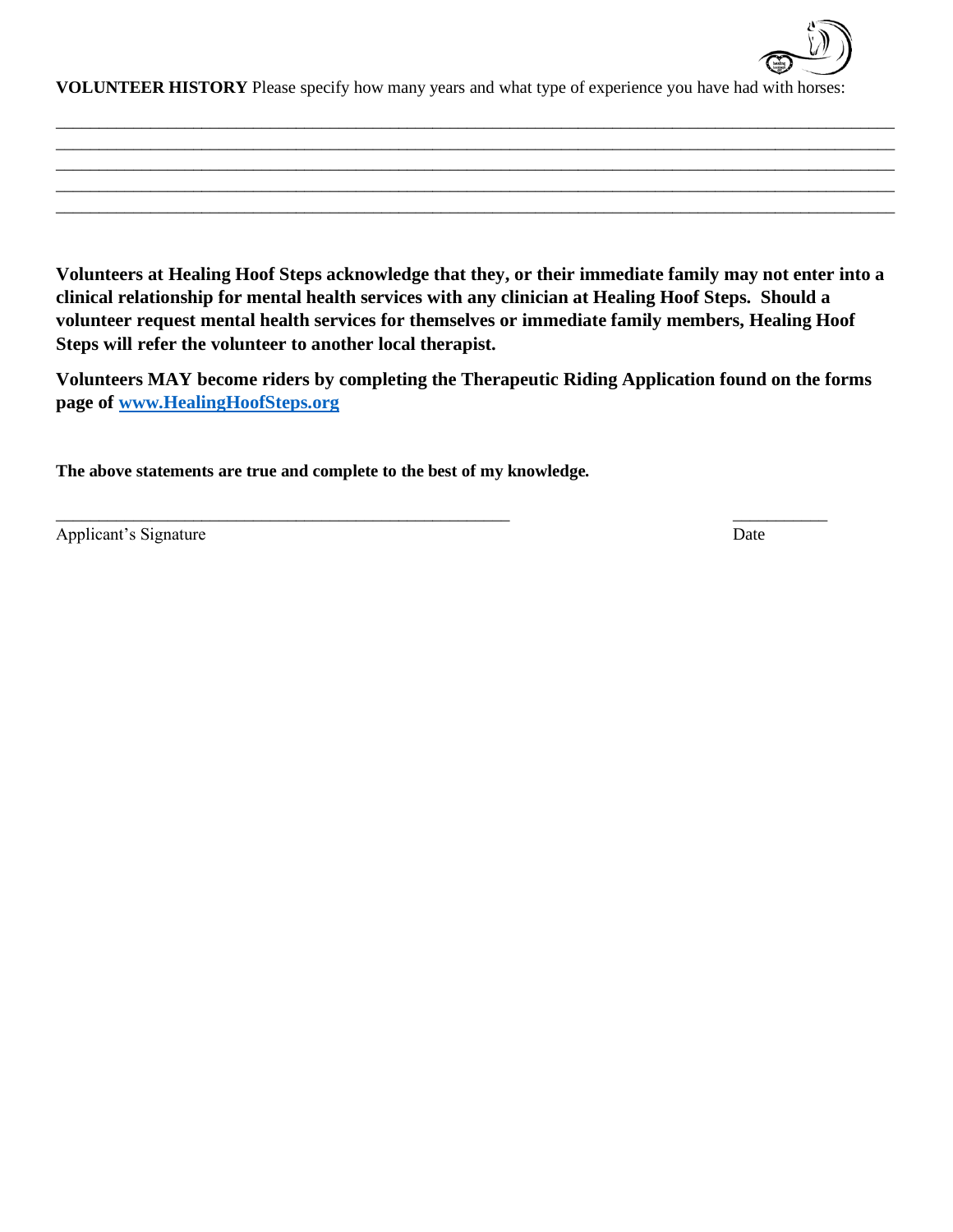

**VOLUNTEER HISTORY** Please specify how many years and what type of experience you have had with horses:

\_\_\_\_\_\_\_\_\_\_\_\_\_\_\_\_\_\_\_\_\_\_\_\_\_\_\_\_\_\_\_\_\_\_\_\_\_\_\_\_\_\_\_\_\_\_\_\_\_\_\_\_\_\_\_\_\_\_\_\_\_\_\_\_\_\_\_\_\_\_\_\_\_\_\_\_\_\_\_\_\_\_\_\_\_\_\_\_\_\_\_\_\_\_\_\_\_\_ \_\_\_\_\_\_\_\_\_\_\_\_\_\_\_\_\_\_\_\_\_\_\_\_\_\_\_\_\_\_\_\_\_\_\_\_\_\_\_\_\_\_\_\_\_\_\_\_\_\_\_\_\_\_\_\_\_\_\_\_\_\_\_\_\_\_\_\_\_\_\_\_\_\_\_\_\_\_\_\_\_\_\_\_\_\_\_\_\_\_\_\_\_\_\_\_\_\_ \_\_\_\_\_\_\_\_\_\_\_\_\_\_\_\_\_\_\_\_\_\_\_\_\_\_\_\_\_\_\_\_\_\_\_\_\_\_\_\_\_\_\_\_\_\_\_\_\_\_\_\_\_\_\_\_\_\_\_\_\_\_\_\_\_\_\_\_\_\_\_\_\_\_\_\_\_\_\_\_\_\_\_\_\_\_\_\_\_\_\_\_\_\_\_\_\_\_ \_\_\_\_\_\_\_\_\_\_\_\_\_\_\_\_\_\_\_\_\_\_\_\_\_\_\_\_\_\_\_\_\_\_\_\_\_\_\_\_\_\_\_\_\_\_\_\_\_\_\_\_\_\_\_\_\_\_\_\_\_\_\_\_\_\_\_\_\_\_\_\_\_\_\_\_\_\_\_\_\_\_\_\_\_\_\_\_\_\_\_\_\_\_\_\_\_\_ \_\_\_\_\_\_\_\_\_\_\_\_\_\_\_\_\_\_\_\_\_\_\_\_\_\_\_\_\_\_\_\_\_\_\_\_\_\_\_\_\_\_\_\_\_\_\_\_\_\_\_\_\_\_\_\_\_\_\_\_\_\_\_\_\_\_\_\_\_\_\_\_\_\_\_\_\_\_\_\_\_\_\_\_\_\_\_\_\_\_\_\_\_\_\_\_\_\_

**Volunteers at Healing Hoof Steps acknowledge that they, or their immediate family may not enter into a clinical relationship for mental health services with any clinician at Healing Hoof Steps. Should a volunteer request mental health services for themselves or immediate family members, Healing Hoof Steps will refer the volunteer to another local therapist.**

**Volunteers MAY become riders by completing the Therapeutic Riding Application found on the forms page of [www.HealingHoofSteps.org](http://www.healinghoofsteps.org/)**

\_\_\_\_\_\_\_\_\_\_\_\_\_\_\_\_\_\_\_\_\_\_\_\_\_\_\_\_\_\_\_\_\_\_\_\_\_\_\_\_\_\_\_\_\_\_\_\_\_\_\_\_\_ \_\_\_\_\_\_\_\_\_\_\_

**The above statements are true and complete to the best of my knowledge.** 

Applicant's Signature Date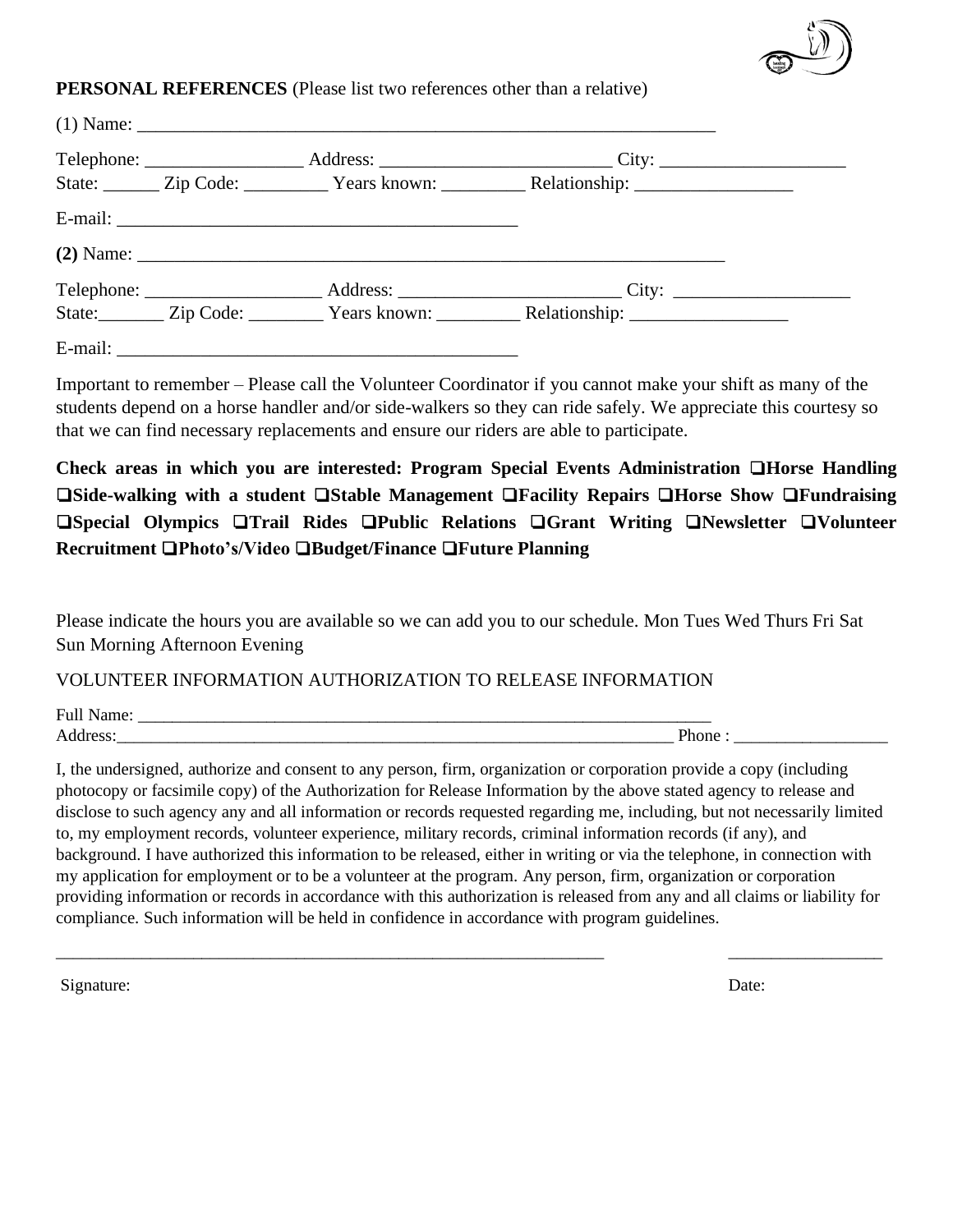

#### **PERSONAL REFERENCES** (Please list two references other than a relative)

|  |             | State: _______ Zip Code: ___________ Years known: ___________ Relationship: _______________________ |  |
|--|-------------|-----------------------------------------------------------------------------------------------------|--|
|  |             |                                                                                                     |  |
|  | $(2)$ Name: |                                                                                                     |  |
|  |             |                                                                                                     |  |
|  |             |                                                                                                     |  |
|  |             |                                                                                                     |  |

Important to remember – Please call the Volunteer Coordinator if you cannot make your shift as many of the students depend on a horse handler and/or side-walkers so they can ride safely. We appreciate this courtesy so that we can find necessary replacements and ensure our riders are able to participate.

**Check areas in which you are interested: Program Special Events Administration** ❏**Horse Handling**  ❏**Side-walking with a student** ❏**Stable Management** ❏**Facility Repairs** ❏**Horse Show** ❏**Fundraising**  ❏**Special Olympics** ❏**Trail Rides** ❏**Public Relations** ❏**Grant Writing** ❏**Newsletter** ❏**Volunteer Recruitment** ❏**Photo's/Video** ❏**Budget/Finance** ❏**Future Planning**

Please indicate the hours you are available so we can add you to our schedule. Mon Tues Wed Thurs Fri Sat Sun Morning Afternoon Evening

VOLUNTEER INFORMATION AUTHORIZATION TO RELEASE INFORMATION

Full Name: \_\_\_\_\_\_\_\_\_\_\_\_\_\_\_\_\_\_\_\_\_\_\_\_\_\_\_\_\_\_\_\_\_\_\_\_\_\_\_\_\_\_\_\_\_\_\_\_\_\_\_\_\_\_\_\_\_\_\_\_\_\_\_\_\_\_\_

Address:\_\_\_\_\_\_\_\_\_\_\_\_\_\_\_\_\_\_\_\_\_\_\_\_\_\_\_\_\_\_\_\_\_\_\_\_\_\_\_\_\_\_\_\_\_\_\_\_\_\_\_\_\_\_\_\_\_\_\_\_\_\_\_\_\_ Phone : \_\_\_\_\_\_\_\_\_\_\_\_\_\_\_\_\_\_

I, the undersigned, authorize and consent to any person, firm, organization or corporation provide a copy (including photocopy or facsimile copy) of the Authorization for Release Information by the above stated agency to release and disclose to such agency any and all information or records requested regarding me, including, but not necessarily limited to, my employment records, volunteer experience, military records, criminal information records (if any), and background. I have authorized this information to be released, either in writing or via the telephone, in connection with my application for employment or to be a volunteer at the program. Any person, firm, organization or corporation providing information or records in accordance with this authorization is released from any and all claims or liability for compliance. Such information will be held in confidence in accordance with program guidelines.

\_\_\_\_\_\_\_\_\_\_\_\_\_\_\_\_\_\_\_\_\_\_\_\_\_\_\_\_\_\_\_\_\_\_\_\_\_\_\_\_\_\_\_\_\_\_\_\_\_\_\_\_\_\_\_\_\_\_\_\_\_\_\_\_ \_\_\_\_\_\_\_\_\_\_\_\_\_\_\_\_\_\_

Signature: Date: Date: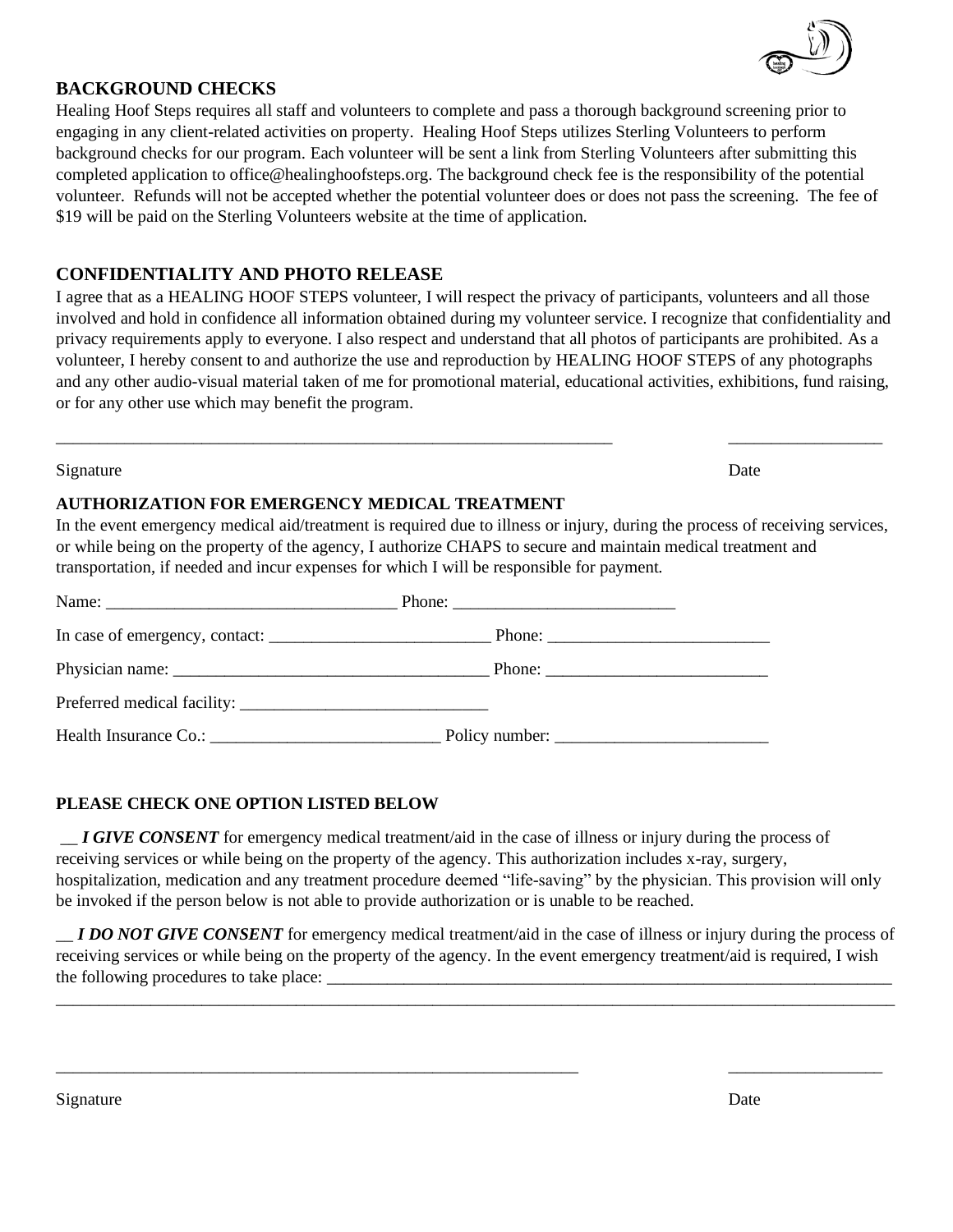#### **BACKGROUND CHECKS**

Healing Hoof Steps requires all staff and volunteers to complete and pass a thorough background screening prior to engaging in any client-related activities on property. Healing Hoof Steps utilizes Sterling Volunteers to perform background checks for our program. Each volunteer will be sent a link from Sterling Volunteers after submitting this completed application to office@healinghoofsteps.org. The background check fee is the responsibility of the potential volunteer. Refunds will not be accepted whether the potential volunteer does or does not pass the screening. The fee of \$19 will be paid on the Sterling Volunteers website at the time of application.

### **CONFIDENTIALITY AND PHOTO RELEASE**

I agree that as a HEALING HOOF STEPS volunteer, I will respect the privacy of participants, volunteers and all those involved and hold in confidence all information obtained during my volunteer service. I recognize that confidentiality and privacy requirements apply to everyone. I also respect and understand that all photos of participants are prohibited. As a volunteer, I hereby consent to and authorize the use and reproduction by HEALING HOOF STEPS of any photographs and any other audio-visual material taken of me for promotional material, educational activities, exhibitions, fund raising, or for any other use which may benefit the program.

\_\_\_\_\_\_\_\_\_\_\_\_\_\_\_\_\_\_\_\_\_\_\_\_\_\_\_\_\_\_\_\_\_\_\_\_\_\_\_\_\_\_\_\_\_\_\_\_\_\_\_\_\_\_\_\_\_\_\_\_\_\_\_\_\_ \_\_\_\_\_\_\_\_\_\_\_\_\_\_\_\_\_\_

#### Signature Date

#### **AUTHORIZATION FOR EMERGENCY MEDICAL TREATMENT**

In the event emergency medical aid/treatment is required due to illness or injury, during the process of receiving services, or while being on the property of the agency, I authorize CHAPS to secure and maintain medical treatment and transportation, if needed and incur expenses for which I will be responsible for payment.

| Phone: $\frac{1}{\sqrt{1-\frac{1}{2}} \cdot \frac{1}{2}}$ |
|-----------------------------------------------------------|
|                                                           |
|                                                           |
|                                                           |
|                                                           |

#### **PLEASE CHECK ONE OPTION LISTED BELOW**

\_\_ *I GIVE CONSENT* for emergency medical treatment/aid in the case of illness or injury during the process of receiving services or while being on the property of the agency. This authorization includes x-ray, surgery, hospitalization, medication and any treatment procedure deemed "life-saving" by the physician. This provision will only be invoked if the person below is not able to provide authorization or is unable to be reached.

*I DO NOT GIVE CONSENT* for emergency medical treatment/aid in the case of illness or injury during the process of receiving services or while being on the property of the agency. In the event emergency treatment/aid is required, I wish the following procedures to take place:

\_\_\_\_\_\_\_\_\_\_\_\_\_\_\_\_\_\_\_\_\_\_\_\_\_\_\_\_\_\_\_\_\_\_\_\_\_\_\_\_\_\_\_\_\_\_\_\_\_\_\_\_\_\_\_\_\_\_\_\_\_\_\_\_\_\_\_\_\_\_\_\_\_\_\_\_\_\_\_\_\_\_\_\_\_\_\_\_\_\_\_\_\_\_\_\_\_\_

\_\_\_\_\_\_\_\_\_\_\_\_\_\_\_\_\_\_\_\_\_\_\_\_\_\_\_\_\_\_\_\_\_\_\_\_\_\_\_\_\_\_\_\_\_\_\_\_\_\_\_\_\_\_\_\_\_\_\_\_\_ \_\_\_\_\_\_\_\_\_\_\_\_\_\_\_\_\_\_

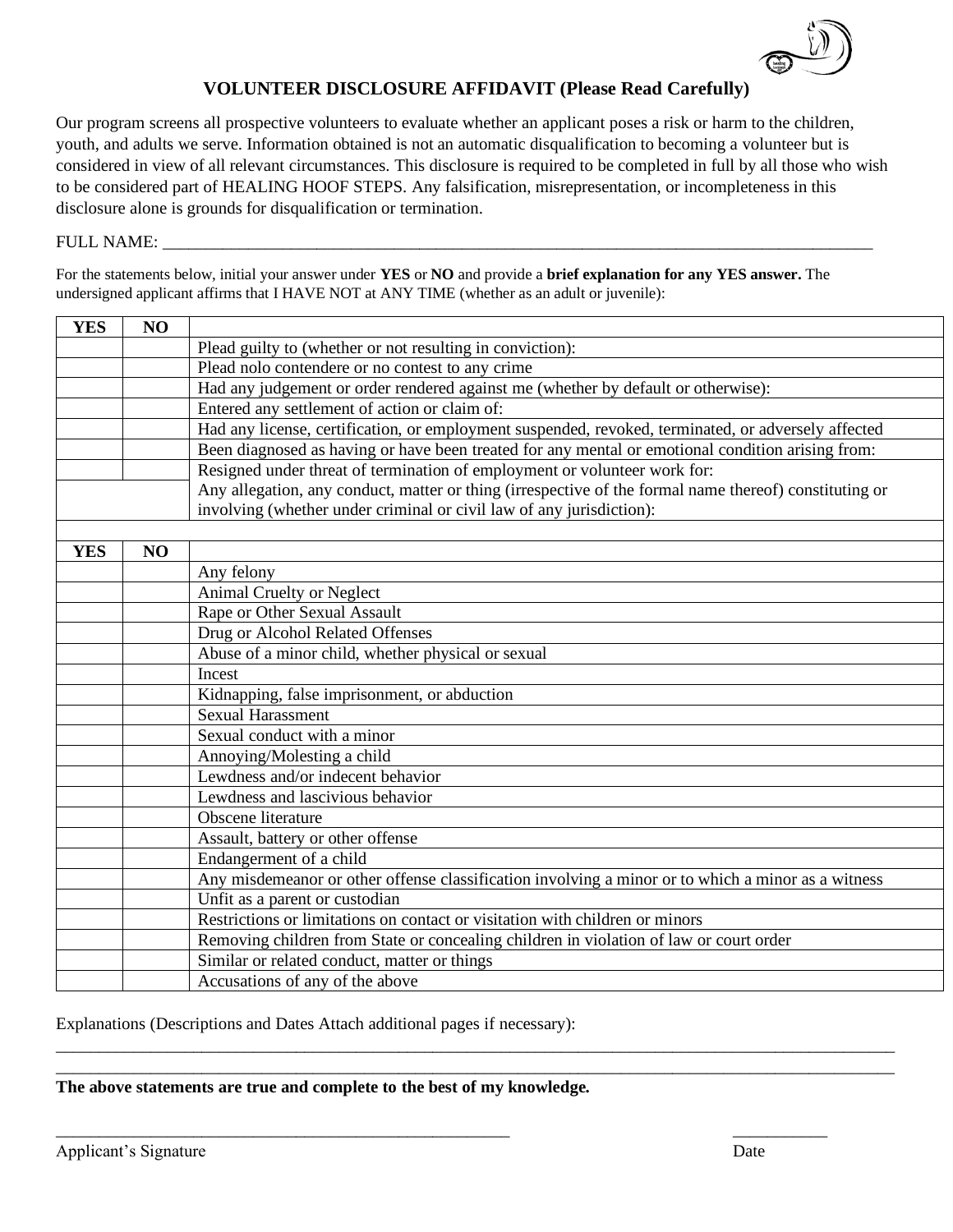

### **VOLUNTEER DISCLOSURE AFFIDAVIT (Please Read Carefully)**

Our program screens all prospective volunteers to evaluate whether an applicant poses a risk or harm to the children, youth, and adults we serve. Information obtained is not an automatic disqualification to becoming a volunteer but is considered in view of all relevant circumstances. This disclosure is required to be completed in full by all those who wish to be considered part of HEALING HOOF STEPS. Any falsification, misrepresentation, or incompleteness in this disclosure alone is grounds for disqualification or termination.

#### FULL NAME:

For the statements below, initial your answer under **YES** or **NO** and provide a **brief explanation for any YES answer.** The undersigned applicant affirms that I HAVE NOT at ANY TIME (whether as an adult or juvenile):

| <b>YES</b> | NO |                                                                                                        |
|------------|----|--------------------------------------------------------------------------------------------------------|
|            |    | Plead guilty to (whether or not resulting in conviction):                                              |
|            |    | Plead nolo contendere or no contest to any crime                                                       |
|            |    | Had any judgement or order rendered against me (whether by default or otherwise):                      |
|            |    | Entered any settlement of action or claim of:                                                          |
|            |    | Had any license, certification, or employment suspended, revoked, terminated, or adversely affected    |
|            |    | Been diagnosed as having or have been treated for any mental or emotional condition arising from:      |
|            |    | Resigned under threat of termination of employment or volunteer work for:                              |
|            |    | Any allegation, any conduct, matter or thing (irrespective of the formal name thereof) constituting or |
|            |    | involving (whether under criminal or civil law of any jurisdiction):                                   |
|            |    |                                                                                                        |
| <b>YES</b> | NO |                                                                                                        |
|            |    | Any felony                                                                                             |
|            |    | Animal Cruelty or Neglect                                                                              |
|            |    | Rape or Other Sexual Assault                                                                           |
|            |    | Drug or Alcohol Related Offenses                                                                       |
|            |    | Abuse of a minor child, whether physical or sexual                                                     |
|            |    | Incest                                                                                                 |
|            |    | Kidnapping, false imprisonment, or abduction                                                           |
|            |    | <b>Sexual Harassment</b>                                                                               |
|            |    | Sexual conduct with a minor                                                                            |
|            |    | Annoying/Molesting a child                                                                             |
|            |    | Lewdness and/or indecent behavior                                                                      |
|            |    | Lewdness and lascivious behavior                                                                       |
|            |    | Obscene literature                                                                                     |
|            |    | Assault, battery or other offense                                                                      |
|            |    | Endangerment of a child                                                                                |
|            |    | Any misdemeanor or other offense classification involving a minor or to which a minor as a witness     |
|            |    | Unfit as a parent or custodian                                                                         |
|            |    | Restrictions or limitations on contact or visitation with children or minors                           |
|            |    | Removing children from State or concealing children in violation of law or court order                 |
|            |    | Similar or related conduct, matter or things                                                           |
|            |    | Accusations of any of the above                                                                        |

\_\_\_\_\_\_\_\_\_\_\_\_\_\_\_\_\_\_\_\_\_\_\_\_\_\_\_\_\_\_\_\_\_\_\_\_\_\_\_\_\_\_\_\_\_\_\_\_\_\_\_\_\_\_\_\_\_\_\_\_\_\_\_\_\_\_\_\_\_\_\_\_\_\_\_\_\_\_\_\_\_\_\_\_\_\_\_\_\_\_\_\_\_\_\_\_\_\_ \_\_\_\_\_\_\_\_\_\_\_\_\_\_\_\_\_\_\_\_\_\_\_\_\_\_\_\_\_\_\_\_\_\_\_\_\_\_\_\_\_\_\_\_\_\_\_\_\_\_\_\_\_\_\_\_\_\_\_\_\_\_\_\_\_\_\_\_\_\_\_\_\_\_\_\_\_\_\_\_\_\_\_\_\_\_\_\_\_\_\_\_\_\_\_\_\_\_

\_\_\_\_\_\_\_\_\_\_\_\_\_\_\_\_\_\_\_\_\_\_\_\_\_\_\_\_\_\_\_\_\_\_\_\_\_\_\_\_\_\_\_\_\_\_\_\_\_\_\_\_\_ \_\_\_\_\_\_\_\_\_\_\_

Explanations (Descriptions and Dates Attach additional pages if necessary):

**The above statements are true and complete to the best of my knowledge.**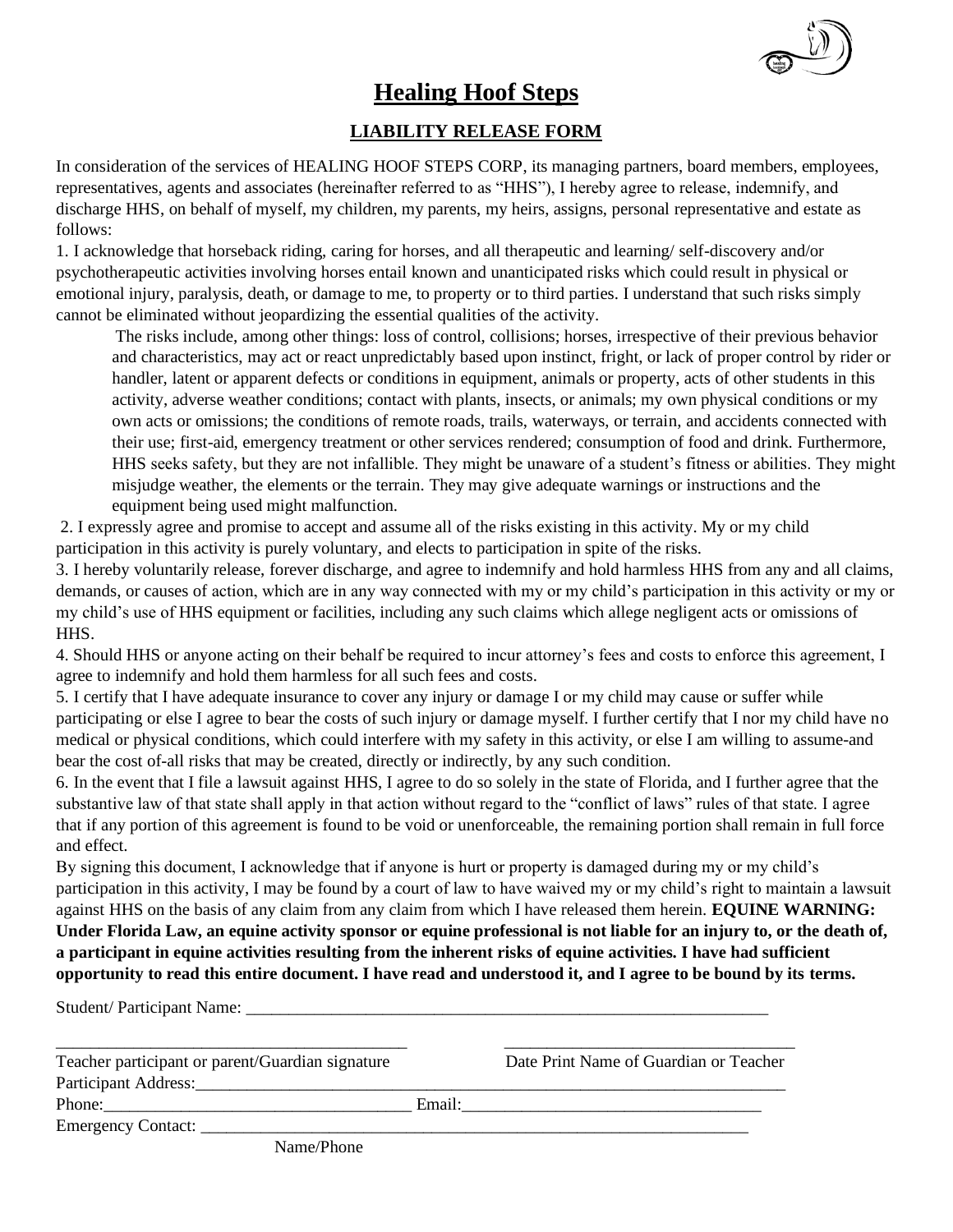

# **Healing Hoof Steps**

## **LIABILITY RELEASE FORM**

In consideration of the services of HEALING HOOF STEPS CORP, its managing partners, board members, employees, representatives, agents and associates (hereinafter referred to as "HHS"), I hereby agree to release, indemnify, and discharge HHS, on behalf of myself, my children, my parents, my heirs, assigns, personal representative and estate as follows:

1. I acknowledge that horseback riding, caring for horses, and all therapeutic and learning/ self-discovery and/or psychotherapeutic activities involving horses entail known and unanticipated risks which could result in physical or emotional injury, paralysis, death, or damage to me, to property or to third parties. I understand that such risks simply cannot be eliminated without jeopardizing the essential qualities of the activity.

The risks include, among other things: loss of control, collisions; horses, irrespective of their previous behavior and characteristics, may act or react unpredictably based upon instinct, fright, or lack of proper control by rider or handler, latent or apparent defects or conditions in equipment, animals or property, acts of other students in this activity, adverse weather conditions; contact with plants, insects, or animals; my own physical conditions or my own acts or omissions; the conditions of remote roads, trails, waterways, or terrain, and accidents connected with their use; first-aid, emergency treatment or other services rendered; consumption of food and drink. Furthermore, HHS seeks safety, but they are not infallible. They might be unaware of a student's fitness or abilities. They might misjudge weather, the elements or the terrain. They may give adequate warnings or instructions and the equipment being used might malfunction.

2. I expressly agree and promise to accept and assume all of the risks existing in this activity. My or my child participation in this activity is purely voluntary, and elects to participation in spite of the risks.

3. I hereby voluntarily release, forever discharge, and agree to indemnify and hold harmless HHS from any and all claims, demands, or causes of action, which are in any way connected with my or my child's participation in this activity or my or my child's use of HHS equipment or facilities, including any such claims which allege negligent acts or omissions of HHS.

4. Should HHS or anyone acting on their behalf be required to incur attorney's fees and costs to enforce this agreement, I agree to indemnify and hold them harmless for all such fees and costs.

5. I certify that I have adequate insurance to cover any injury or damage I or my child may cause or suffer while participating or else I agree to bear the costs of such injury or damage myself. I further certify that I nor my child have no medical or physical conditions, which could interfere with my safety in this activity, or else I am willing to assume-and bear the cost of-all risks that may be created, directly or indirectly, by any such condition.

6. In the event that I file a lawsuit against HHS, I agree to do so solely in the state of Florida, and I further agree that the substantive law of that state shall apply in that action without regard to the "conflict of laws" rules of that state. I agree that if any portion of this agreement is found to be void or unenforceable, the remaining portion shall remain in full force and effect.

By signing this document, I acknowledge that if anyone is hurt or property is damaged during my or my child's participation in this activity, I may be found by a court of law to have waived my or my child's right to maintain a lawsuit against HHS on the basis of any claim from any claim from which I have released them herein. **EQUINE WARNING: Under Florida Law, an equine activity sponsor or equine professional is not liable for an injury to, or the death of, a participant in equine activities resulting from the inherent risks of equine activities. I have had sufficient opportunity to read this entire document. I have read and understood it, and I agree to be bound by its terms.** 

Student/ Participant Name:

| Teacher participant or parent/Guardian signature | Date Print Name of Guardian or Teacher                                                                                                                                                                                         |
|--------------------------------------------------|--------------------------------------------------------------------------------------------------------------------------------------------------------------------------------------------------------------------------------|
|                                                  |                                                                                                                                                                                                                                |
|                                                  | Email: the contract of the contract of the contract of the contract of the contract of the contract of the contract of the contract of the contract of the contract of the contract of the contract of the contract of the con |
|                                                  |                                                                                                                                                                                                                                |
| Name/Phone                                       |                                                                                                                                                                                                                                |